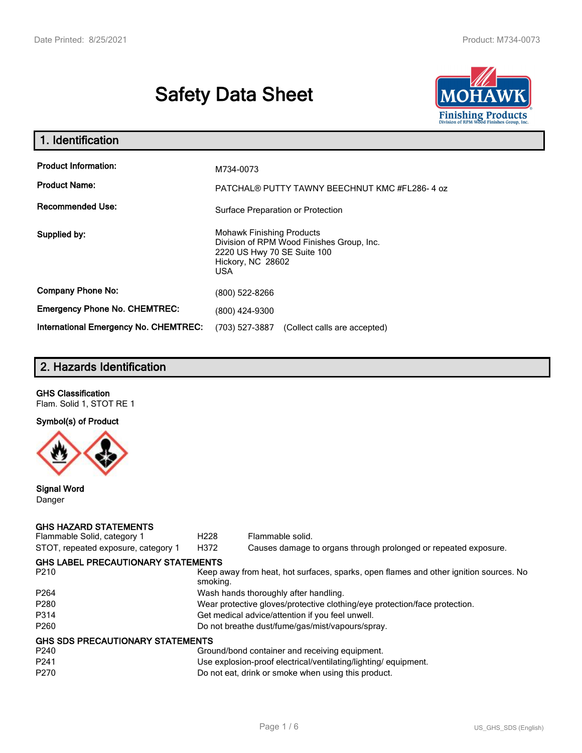# **Safety Data Sheet**



| 1. Identification                                   |                                                                                                                                          |  |  |
|-----------------------------------------------------|------------------------------------------------------------------------------------------------------------------------------------------|--|--|
| <b>Product Information:</b><br><b>Product Name:</b> | M734-0073<br>PATCHAL® PUTTY TAWNY BEECHNUT KMC #FL286-4 oz                                                                               |  |  |
| <b>Recommended Use:</b>                             | Surface Preparation or Protection                                                                                                        |  |  |
| Supplied by:                                        | <b>Mohawk Finishing Products</b><br>Division of RPM Wood Finishes Group, Inc.<br>2220 US Hwy 70 SE Suite 100<br>Hickory, NC 28602<br>USA |  |  |
| <b>Company Phone No:</b>                            | (800) 522-8266                                                                                                                           |  |  |
| <b>Emergency Phone No. CHEMTREC:</b>                | (800) 424-9300                                                                                                                           |  |  |
| <b>International Emergency No. CHEMTREC:</b>        | (703) 527-3887<br>(Collect calls are accepted)                                                                                           |  |  |

# **2. Hazards Identification**

# **GHS Classification**

Flam. Solid 1, STOT RE 1

# **Symbol(s) of Product**



## **Signal Word** Danger

## **GHS HAZARD STATEMENTS**

| Flammable Solid, category 1               | H <sub>228</sub>                                                           | Flammable solid.                                                                      |  |  |
|-------------------------------------------|----------------------------------------------------------------------------|---------------------------------------------------------------------------------------|--|--|
| STOT, repeated exposure, category 1       | H372                                                                       | Causes damage to organs through prolonged or repeated exposure.                       |  |  |
| <b>GHS LABEL PRECAUTIONARY STATEMENTS</b> |                                                                            |                                                                                       |  |  |
| P <sub>210</sub>                          | smoking.                                                                   | Keep away from heat, hot surfaces, sparks, open flames and other ignition sources. No |  |  |
| P <sub>264</sub>                          |                                                                            | Wash hands thoroughly after handling.                                                 |  |  |
| P <sub>280</sub>                          | Wear protective gloves/protective clothing/eye protection/face protection. |                                                                                       |  |  |
| P314                                      | Get medical advice/attention if you feel unwell.                           |                                                                                       |  |  |
| P <sub>260</sub>                          | Do not breathe dust/fume/gas/mist/vapours/spray.                           |                                                                                       |  |  |
| <b>GHS SDS PRECAUTIONARY STATEMENTS</b>   |                                                                            |                                                                                       |  |  |
| P <sub>240</sub>                          |                                                                            | Ground/bond container and receiving equipment.                                        |  |  |
| P <sub>241</sub>                          |                                                                            | Use explosion-proof electrical/ventilating/lighting/equipment.                        |  |  |
| P <sub>270</sub>                          |                                                                            | Do not eat, drink or smoke when using this product.                                   |  |  |
|                                           |                                                                            |                                                                                       |  |  |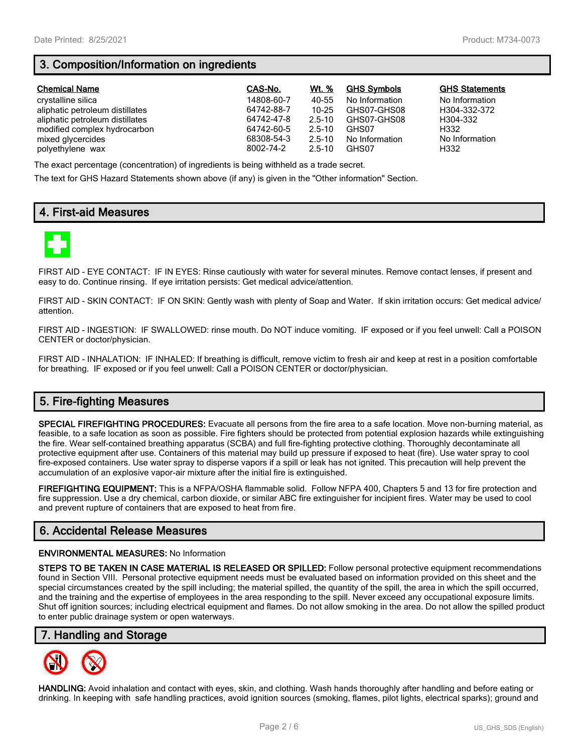# **3. Composition/Information on ingredients**

| <b>Chemical Name</b>            | CAS-No.    | Wt. %      | <b>GHS Symbols</b> | <b>GHS Statements</b> |
|---------------------------------|------------|------------|--------------------|-----------------------|
| crystalline silica              | 14808-60-7 | 40-55      | No Information     | No Information        |
| aliphatic petroleum distillates | 64742-88-7 | $10 - 25$  | GHS07-GHS08        | H304-332-372          |
| aliphatic petroleum distillates | 64742-47-8 | $2.5 - 10$ | GHS07-GHS08        | H304-332              |
| modified complex hydrocarbon    | 64742-60-5 | $2.5 - 10$ | GHS07              | H332                  |
| mixed glycercides               | 68308-54-3 | $2.5 - 10$ | No Information     | No Information        |
| polyethylene wax                | 8002-74-2  | $2.5 - 10$ | GHS07              | H332                  |

The exact percentage (concentration) of ingredients is being withheld as a trade secret.

The text for GHS Hazard Statements shown above (if any) is given in the "Other information" Section.

# **4. First-aid Measures**



FIRST AID - EYE CONTACT: IF IN EYES: Rinse cautiously with water for several minutes. Remove contact lenses, if present and easy to do. Continue rinsing. If eye irritation persists: Get medical advice/attention.

FIRST AID - SKIN CONTACT: IF ON SKIN: Gently wash with plenty of Soap and Water. If skin irritation occurs: Get medical advice/ attention.

FIRST AID - INGESTION: IF SWALLOWED: rinse mouth. Do NOT induce vomiting. IF exposed or if you feel unwell: Call a POISON CENTER or doctor/physician.

FIRST AID - INHALATION: IF INHALED: If breathing is difficult, remove victim to fresh air and keep at rest in a position comfortable for breathing. IF exposed or if you feel unwell: Call a POISON CENTER or doctor/physician.

# **5. Fire-fighting Measures**

**SPECIAL FIREFIGHTING PROCEDURES:** Evacuate all persons from the fire area to a safe location. Move non-burning material, as feasible, to a safe location as soon as possible. Fire fighters should be protected from potential explosion hazards while extinguishing the fire. Wear self-contained breathing apparatus (SCBA) and full fire-fighting protective clothing. Thoroughly decontaminate all protective equipment after use. Containers of this material may build up pressure if exposed to heat (fire). Use water spray to cool fire-exposed containers. Use water spray to disperse vapors if a spill or leak has not ignited. This precaution will help prevent the accumulation of an explosive vapor-air mixture after the initial fire is extinguished.

**FIREFIGHTING EQUIPMENT:** This is a NFPA/OSHA flammable solid. Follow NFPA 400, Chapters 5 and 13 for fire protection and fire suppression. Use a dry chemical, carbon dioxide, or similar ABC fire extinguisher for incipient fires. Water may be used to cool and prevent rupture of containers that are exposed to heat from fire.

# **6. Accidental Release Measures**

#### **ENVIRONMENTAL MEASURES:** No Information

**STEPS TO BE TAKEN IN CASE MATERIAL IS RELEASED OR SPILLED:** Follow personal protective equipment recommendations found in Section VIII. Personal protective equipment needs must be evaluated based on information provided on this sheet and the special circumstances created by the spill including; the material spilled, the quantity of the spill, the area in which the spill occurred, and the training and the expertise of employees in the area responding to the spill. Never exceed any occupational exposure limits. Shut off ignition sources; including electrical equipment and flames. Do not allow smoking in the area. Do not allow the spilled product to enter public drainage system or open waterways.

## **7. Handling and Storage**



**HANDLING:** Avoid inhalation and contact with eyes, skin, and clothing. Wash hands thoroughly after handling and before eating or drinking. In keeping with safe handling practices, avoid ignition sources (smoking, flames, pilot lights, electrical sparks); ground and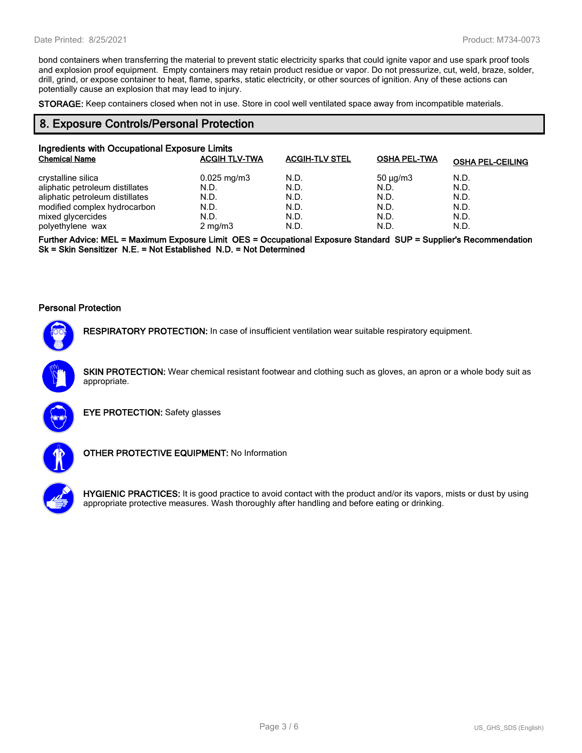bond containers when transferring the material to prevent static electricity sparks that could ignite vapor and use spark proof tools and explosion proof equipment. Empty containers may retain product residue or vapor. Do not pressurize, cut, weld, braze, solder, drill, grind, or expose container to heat, flame, sparks, static electricity, or other sources of ignition. Any of these actions can potentially cause an explosion that may lead to injury.

**STORAGE:** Keep containers closed when not in use. Store in cool well ventilated space away from incompatible materials.

## **8. Exposure Controls/Personal Protection**

| Ingredients with Occupational Exposure Limits |                      |                       |                     |                         |  |  |
|-----------------------------------------------|----------------------|-----------------------|---------------------|-------------------------|--|--|
| <b>Chemical Name</b>                          | <b>ACGIH TLV-TWA</b> | <b>ACGIH-TLV STEL</b> | <b>OSHA PEL-TWA</b> | <b>OSHA PEL-CEILING</b> |  |  |
| crystalline silica                            | $0.025$ mg/m3        | N.D.                  | $50 \mu q/m3$       | N.D.                    |  |  |
| aliphatic petroleum distillates               | N.D.                 | N.D.                  | N.D.                | N.D.                    |  |  |
| aliphatic petroleum distillates               | N.D.                 | N.D.                  | N.D.                | N.D.                    |  |  |
| modified complex hydrocarbon                  | N.D.                 | N.D.                  | N.D.                | N.D.                    |  |  |
| mixed glycercides                             | N.D.                 | N.D.                  | N.D.                | N.D.                    |  |  |
| polyethylene wax                              | $2$ mg/m $3$         | N.D.                  | N.D.                | N.D.                    |  |  |

**Further Advice: MEL = Maximum Exposure Limit OES = Occupational Exposure Standard SUP = Supplier's Recommendation Sk = Skin Sensitizer N.E. = Not Established N.D. = Not Determined**

#### **Personal Protection**



**RESPIRATORY PROTECTION:** In case of insufficient ventilation wear suitable respiratory equipment.

**SKIN PROTECTION:** Wear chemical resistant footwear and clothing such as gloves, an apron or a whole body suit as appropriate.



**EYE PROTECTION:** Safety glasses



**OTHER PROTECTIVE EQUIPMENT:** No Information



**HYGIENIC PRACTICES:** It is good practice to avoid contact with the product and/or its vapors, mists or dust by using appropriate protective measures. Wash thoroughly after handling and before eating or drinking.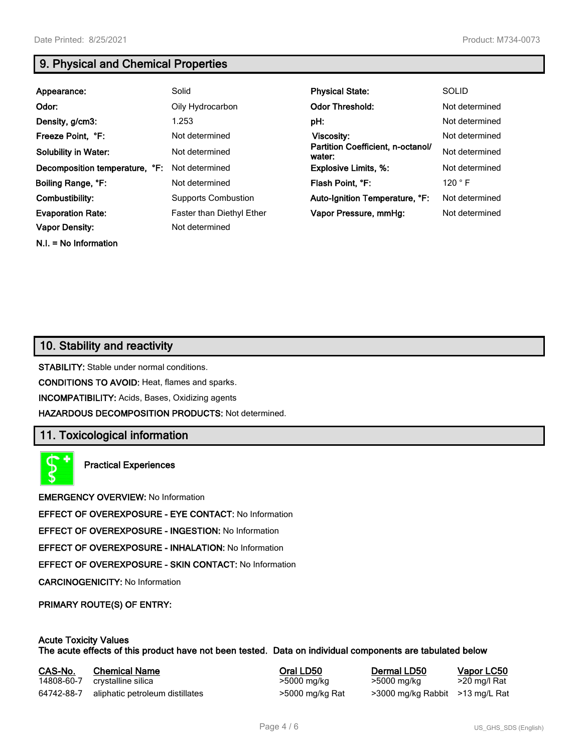**N.I. = No Information**

# **9. Physical and Chemical Properties**

| Appearance:                    | Solid                            | <b>Physical State:</b>                      | <b>SOLID</b>   |
|--------------------------------|----------------------------------|---------------------------------------------|----------------|
| Odor:                          | Oily Hydrocarbon                 | <b>Odor Threshold:</b>                      | Not determined |
| Density, g/cm3:                | 1.253                            | pH:                                         | Not determined |
| Freeze Point, °F:              | Not determined                   | Viscosity:                                  | Not determined |
| <b>Solubility in Water:</b>    | Not determined                   | Partition Coefficient, n-octanol/<br>water: | Not determined |
| Decomposition temperature, °F: | Not determined                   | <b>Explosive Limits, %:</b>                 | Not determined |
| Boiling Range, °F:             | Not determined                   | Flash Point, °F:                            | 120 °F         |
| Combustibility:                | <b>Supports Combustion</b>       | Auto-Ignition Temperature, °F:              | Not determined |
| <b>Evaporation Rate:</b>       | <b>Faster than Diethyl Ether</b> | Vapor Pressure, mmHg:                       | Not determined |
| <b>Vapor Density:</b>          | Not determined                   |                                             |                |

# **10. Stability and reactivity**

**STABILITY:** Stable under normal conditions.

**CONDITIONS TO AVOID:** Heat, flames and sparks.

**INCOMPATIBILITY:** Acids, Bases, Oxidizing agents

**HAZARDOUS DECOMPOSITION PRODUCTS:** Not determined.

# **11. Toxicological information**

**Practical Experiences**

**EMERGENCY OVERVIEW:** No Information

**EFFECT OF OVEREXPOSURE - EYE CONTACT:** No Information

**EFFECT OF OVEREXPOSURE - INGESTION:** No Information

**EFFECT OF OVEREXPOSURE - INHALATION:** No Information

**EFFECT OF OVEREXPOSURE - SKIN CONTACT:** No Information

**CARCINOGENICITY:** No Information

**PRIMARY ROUTE(S) OF ENTRY:**

#### **Acute Toxicity Values The acute effects of this product have not been tested. Data on individual components are tabulated below**

| CAS-No.    | <b>Chemical Name</b>            | Oral LD50       | Dermal LD50                     | Vapor LC50   |
|------------|---------------------------------|-----------------|---------------------------------|--------------|
| 14808-60-7 | crystalline silica              | >5000 mg/kg     | >5000 mg/kg                     | >20 mg/l Rat |
| 64742-88-7 | aliphatic petroleum distillates | >5000 mg/kg Rat | >3000 mg/kg Rabbit >13 mg/L Rat |              |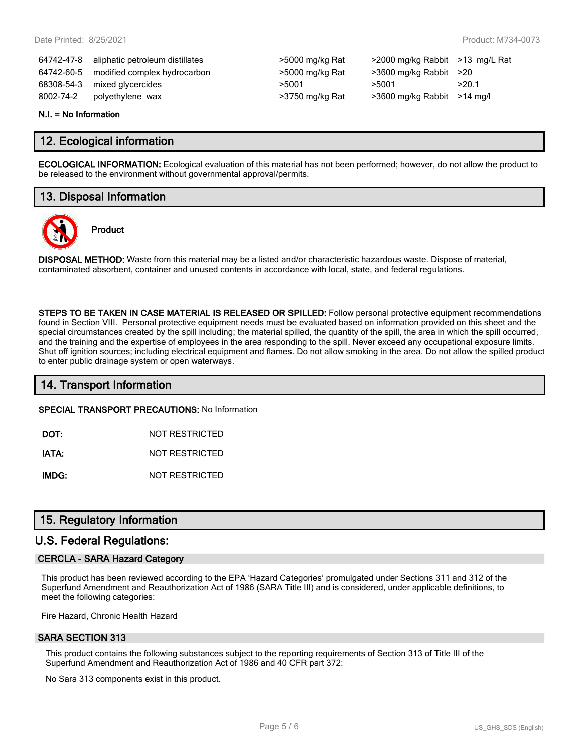|            | 64742-47-8 aliphatic petroleum distillates | >5000 mg/kg Rat | $>$ 2000 mg/kg Rabbit $>$ 13 m |       |
|------------|--------------------------------------------|-----------------|--------------------------------|-------|
| 64742-60-5 | modified complex hydrocarbon               | >5000 mg/kg Rat | $>3600$ mg/kg Rabbit $>20$     |       |
|            | 68308-54-3 mixed glycercides               | >5001           | >5001                          | >20.1 |
| 8002-74-2  | polyethylene wax                           | >3750 mg/kg Rat | $>3600$ mg/kg Rabbit $>14$ m   |       |

| >5000 mg/kg Rat |
|-----------------|
| >5000 mg/kg Rat |
| >5001           |
| >3750 mg/kg Rat |

64742-47-8 aliphatic petroleum distillates >5000 mg/kg Rat >2000 mg/kg Rabbit >13 mg/L Rat  $>3600$  mg/kg Rabbit  $>20$ >3600 mg/kg Rabbit >14 mg/l

#### **N.I. = No Information**

# **12. Ecological information**

**ECOLOGICAL INFORMATION:** Ecological evaluation of this material has not been performed; however, do not allow the product to be released to the environment without governmental approval/permits.

# **13. Disposal Information**

**Product**



**DISPOSAL METHOD:** Waste from this material may be a listed and/or characteristic hazardous waste. Dispose of material, contaminated absorbent, container and unused contents in accordance with local, state, and federal regulations.

**STEPS TO BE TAKEN IN CASE MATERIAL IS RELEASED OR SPILLED:** Follow personal protective equipment recommendations found in Section VIII. Personal protective equipment needs must be evaluated based on information provided on this sheet and the special circumstances created by the spill including; the material spilled, the quantity of the spill, the area in which the spill occurred, and the training and the expertise of employees in the area responding to the spill. Never exceed any occupational exposure limits. Shut off ignition sources; including electrical equipment and flames. Do not allow smoking in the area. Do not allow the spilled product to enter public drainage system or open waterways.

# **14. Transport Information**

**SPECIAL TRANSPORT PRECAUTIONS:** No Information

**DOT:** NOT RESTRICTED

**IATA:** NOT RESTRICTED

**IMDG:** NOT RESTRICTED

# **15. Regulatory Information**

## **U.S. Federal Regulations:**

## **CERCLA - SARA Hazard Category**

This product has been reviewed according to the EPA 'Hazard Categories' promulgated under Sections 311 and 312 of the Superfund Amendment and Reauthorization Act of 1986 (SARA Title III) and is considered, under applicable definitions, to meet the following categories:

Fire Hazard, Chronic Health Hazard

## **SARA SECTION 313**

This product contains the following substances subject to the reporting requirements of Section 313 of Title III of the Superfund Amendment and Reauthorization Act of 1986 and 40 CFR part 372:

No Sara 313 components exist in this product.